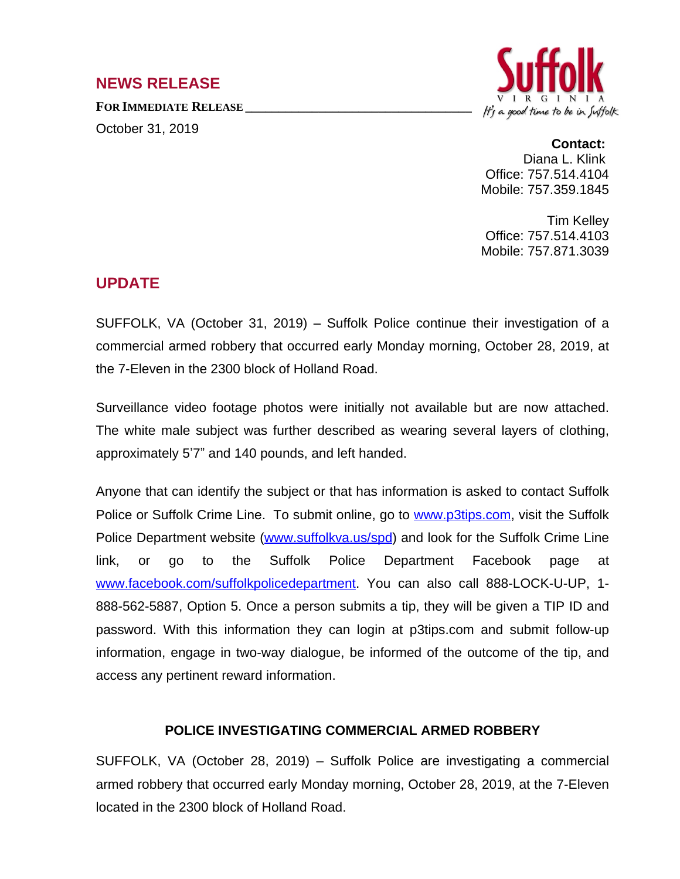## **NEWS RELEASE**

**FOR IMMEDIATE RELEASE \_\_\_\_\_\_\_\_\_\_\_\_\_\_\_\_\_\_\_\_\_\_\_\_\_\_\_\_\_\_\_\_\_\_**

October 31, 2019



## **Contact:**

Diana L. Klink Office: 757.514.4104 Mobile: 757.359.1845

Tim Kelley Office: 757.514.4103 Mobile: 757.871.3039

## **UPDATE**

SUFFOLK, VA (October 31, 2019) – Suffolk Police continue their investigation of a commercial armed robbery that occurred early Monday morning, October 28, 2019, at the 7-Eleven in the 2300 block of Holland Road.

Surveillance video footage photos were initially not available but are now attached. The white male subject was further described as wearing several layers of clothing, approximately 5'7" and 140 pounds, and left handed.

Anyone that can identify the subject or that has information is asked to contact Suffolk Police or Suffolk Crime Line. To submit online, go to [www.p3tips.com](http://www.p3tips.com), visit the Suffolk Police Department website [\(www.suffolkva.us/spd](http://www.suffolkva.us/spd)) and look for the Suffolk Crime Line link, or go to the Suffolk Police Department Facebook page at [www.facebook.com/suffolkpolicedepartment.](http://www.facebook.com/suffolkpolicedepartment) You can also call 888-LOCK-U-UP, 1- 888-562-5887, Option 5. Once a person submits a tip, they will be given a TIP ID and password. With this information they can login at p3tips.com and submit follow-up information, engage in two-way dialogue, be informed of the outcome of the tip, and access any pertinent reward information.

## **POLICE INVESTIGATING COMMERCIAL ARMED ROBBERY**

SUFFOLK, VA (October 28, 2019) – Suffolk Police are investigating a commercial armed robbery that occurred early Monday morning, October 28, 2019, at the 7-Eleven located in the 2300 block of Holland Road.